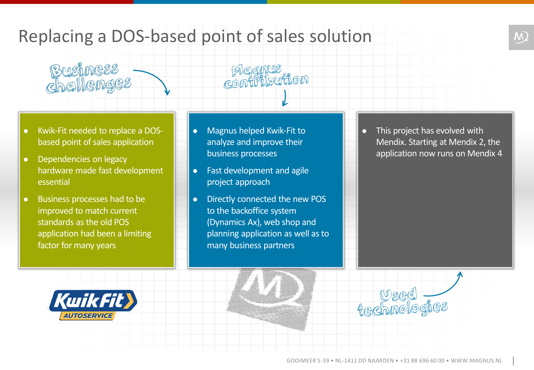## Replacing a DOS-based point of sales solution





- Dependencies on legacy hardware made fast development essential
- **•** Business processes had to be improved to match current standards as the old POS application had been a limiting factor for many years

• Magnus helped Kwik-Fit to analyze and improve their business processes

Megnus<br>contribution

- Fast development and agile project approach
- Directly connected the new POS to the backoffice system (Dynamics Ax), web shop and planning application as well as to many business partners

• This project has evolved with Mendix. Starting at Mendix 2, the application now runs on Mendix 4





wsed<br>technologies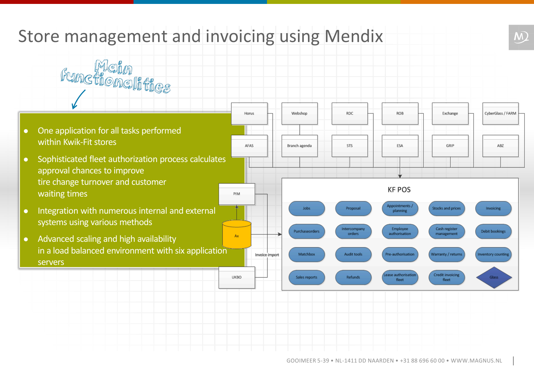## Store management and invoicing using Mendix



 $\widehat{\mathsf{M}}$